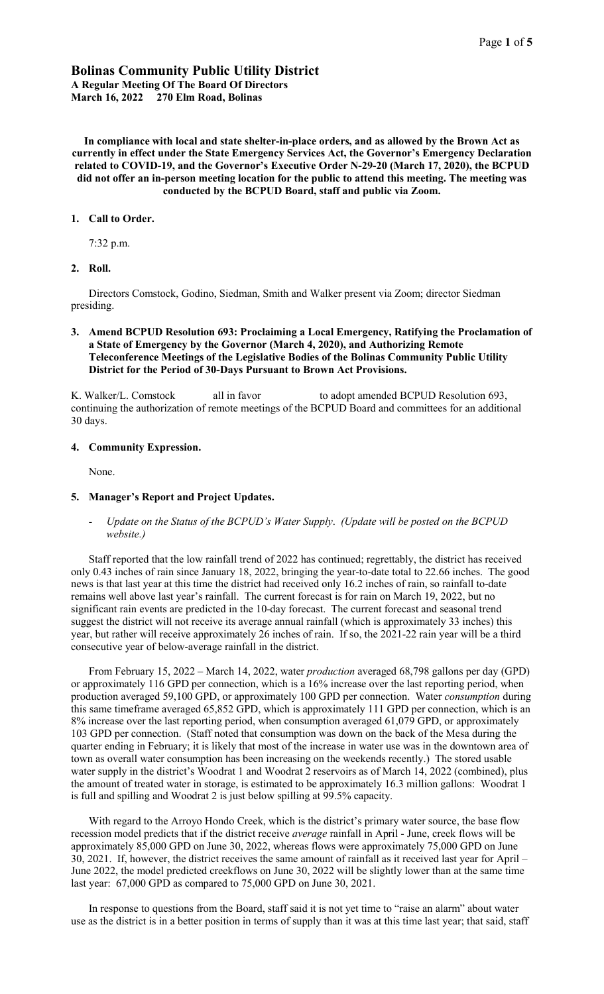# Bolinas Community Public Utility District A Regular Meeting Of The Board Of Directors March 16, 2022 270 Elm Road, Bolinas

In compliance with local and state shelter-in-place orders, and as allowed by the Brown Act as currently in effect under the State Emergency Services Act, the Governor's Emergency Declaration related to COVID-19, and the Governor's Executive Order N-29-20 (March 17, 2020), the BCPUD did not offer an in-person meeting location for the public to attend this meeting. The meeting was conducted by the BCPUD Board, staff and public via Zoom.

## 1. Call to Order.

7:32 p.m.

# 2. Roll.

Directors Comstock, Godino, Siedman, Smith and Walker present via Zoom; director Siedman presiding.

# 3. Amend BCPUD Resolution 693: Proclaiming a Local Emergency, Ratifying the Proclamation of a State of Emergency by the Governor (March 4, 2020), and Authorizing Remote Teleconference Meetings of the Legislative Bodies of the Bolinas Community Public Utility District for the Period of 30-Days Pursuant to Brown Act Provisions.

K. Walker/L. Comstock all in favor to adopt amended BCPUD Resolution 693, continuing the authorization of remote meetings of the BCPUD Board and committees for an additional 30 days.

### 4. Community Expression.

None.

#### 5. Manager's Report and Project Updates.

*- Update on the Status of the BCPUD's Water Supply*. *(Update will be posted on the BCPUD website.)*

Staff reported that the low rainfall trend of 2022 has continued; regrettably, the district has received only 0.43 inches of rain since January 18, 2022, bringing the year-to-date total to 22.66 inches. The good news is that last year at this time the district had received only 16.2 inches of rain, so rainfall to-date remains well above last year's rainfall. The current forecast is for rain on March 19, 2022, but no significant rain events are predicted in the 10-day forecast. The current forecast and seasonal trend suggest the district will not receive its average annual rainfall (which is approximately 33 inches) this year, but rather will receive approximately 26 inches of rain. If so, the 2021-22 rain year will be a third consecutive year of below-average rainfall in the district.

From February 15, 2022 – March 14, 2022, water *production* averaged 68,798 gallons per day (GPD) or approximately 116 GPD per connection, which is a 16% increase over the last reporting period, when production averaged 59,100 GPD, or approximately 100 GPD per connection. Water *consumption* during this same timeframe averaged 65,852 GPD, which is approximately 111 GPD per connection, which is an 8% increase over the last reporting period, when consumption averaged 61,079 GPD, or approximately 103 GPD per connection. (Staff noted that consumption was down on the back of the Mesa during the quarter ending in February; it is likely that most of the increase in water use was in the downtown area of town as overall water consumption has been increasing on the weekends recently.) The stored usable water supply in the district's Woodrat 1 and Woodrat 2 reservoirs as of March 14, 2022 (combined), plus the amount of treated water in storage, is estimated to be approximately 16.3 million gallons: Woodrat 1 is full and spilling and Woodrat 2 is just below spilling at 99.5% capacity.

With regard to the Arroyo Hondo Creek, which is the district's primary water source, the base flow recession model predicts that if the district receive *average* rainfall in April - June, creek flows will be approximately 85,000 GPD on June 30, 2022, whereas flows were approximately 75,000 GPD on June 30, 2021. If, however, the district receives the same amount of rainfall as it received last year for April – June 2022, the model predicted creekflows on June 30, 2022 will be slightly lower than at the same time last year: 67,000 GPD as compared to 75,000 GPD on June 30, 2021.

In response to questions from the Board, staff said it is not yet time to "raise an alarm" about water use as the district is in a better position in terms of supply than it was at this time last year; that said, staff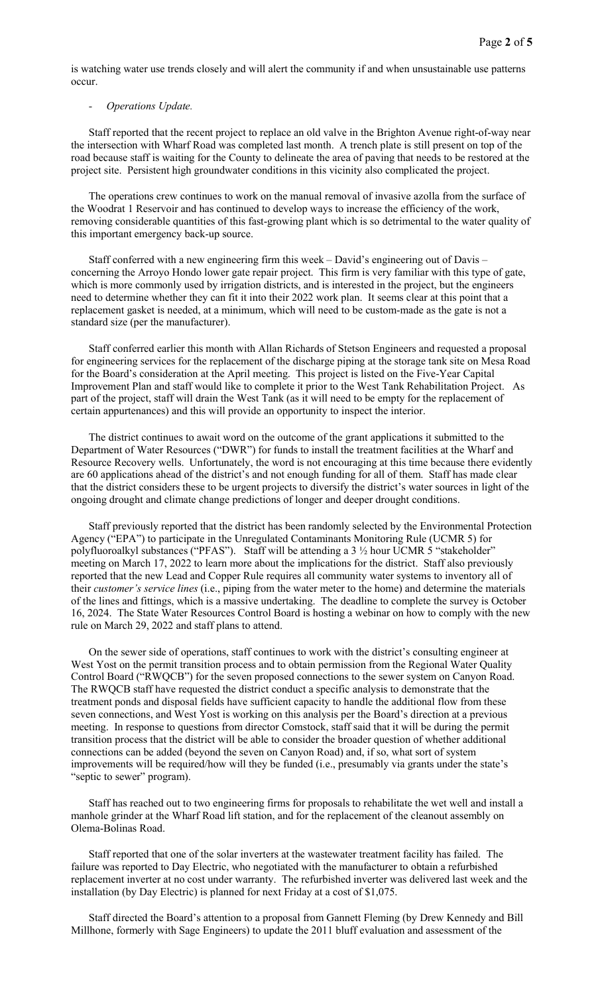is watching water use trends closely and will alert the community if and when unsustainable use patterns occur.

# *- Operations Update.*

Staff reported that the recent project to replace an old valve in the Brighton Avenue right-of-way near the intersection with Wharf Road was completed last month. A trench plate is still present on top of the road because staff is waiting for the County to delineate the area of paving that needs to be restored at the project site. Persistent high groundwater conditions in this vicinity also complicated the project.

The operations crew continues to work on the manual removal of invasive azolla from the surface of the Woodrat 1 Reservoir and has continued to develop ways to increase the efficiency of the work, removing considerable quantities of this fast-growing plant which is so detrimental to the water quality of this important emergency back-up source.

Staff conferred with a new engineering firm this week – David's engineering out of Davis – concerning the Arroyo Hondo lower gate repair project. This firm is very familiar with this type of gate, which is more commonly used by irrigation districts, and is interested in the project, but the engineers need to determine whether they can fit it into their 2022 work plan. It seems clear at this point that a replacement gasket is needed, at a minimum, which will need to be custom-made as the gate is not a standard size (per the manufacturer).

Staff conferred earlier this month with Allan Richards of Stetson Engineers and requested a proposal for engineering services for the replacement of the discharge piping at the storage tank site on Mesa Road for the Board's consideration at the April meeting. This project is listed on the Five-Year Capital Improvement Plan and staff would like to complete it prior to the West Tank Rehabilitation Project. As part of the project, staff will drain the West Tank (as it will need to be empty for the replacement of certain appurtenances) and this will provide an opportunity to inspect the interior.

The district continues to await word on the outcome of the grant applications it submitted to the Department of Water Resources ("DWR") for funds to install the treatment facilities at the Wharf and Resource Recovery wells. Unfortunately, the word is not encouraging at this time because there evidently are 60 applications ahead of the district's and not enough funding for all of them. Staff has made clear that the district considers these to be urgent projects to diversify the district's water sources in light of the ongoing drought and climate change predictions of longer and deeper drought conditions.

Staff previously reported that the district has been randomly selected by the Environmental Protection Agency ("EPA") to participate in the Unregulated Contaminants Monitoring Rule (UCMR 5) for polyfluoroalkyl substances ("PFAS"). Staff will be attending a 3  $\frac{1}{2}$  hour UCMR 5 "stakeholder" meeting on March 17, 2022 to learn more about the implications for the district. Staff also previously reported that the new Lead and Copper Rule requires all community water systems to inventory all of their *customer's service lines* (i.e., piping from the water meter to the home) and determine the materials of the lines and fittings, which is a massive undertaking. The deadline to complete the survey is October 16, 2024. The State Water Resources Control Board is hosting a webinar on how to comply with the new rule on March 29, 2022 and staff plans to attend.

On the sewer side of operations, staff continues to work with the district's consulting engineer at West Yost on the permit transition process and to obtain permission from the Regional Water Quality Control Board ("RWQCB") for the seven proposed connections to the sewer system on Canyon Road. The RWQCB staff have requested the district conduct a specific analysis to demonstrate that the treatment ponds and disposal fields have sufficient capacity to handle the additional flow from these seven connections, and West Yost is working on this analysis per the Board's direction at a previous meeting. In response to questions from director Comstock, staff said that it will be during the permit transition process that the district will be able to consider the broader question of whether additional connections can be added (beyond the seven on Canyon Road) and, if so, what sort of system improvements will be required/how will they be funded (i.e., presumably via grants under the state's "septic to sewer" program).

Staff has reached out to two engineering firms for proposals to rehabilitate the wet well and install a manhole grinder at the Wharf Road lift station, and for the replacement of the cleanout assembly on Olema-Bolinas Road.

Staff reported that one of the solar inverters at the wastewater treatment facility has failed. The failure was reported to Day Electric, who negotiated with the manufacturer to obtain a refurbished replacement inverter at no cost under warranty. The refurbished inverter was delivered last week and the installation (by Day Electric) is planned for next Friday at a cost of \$1,075.

Staff directed the Board's attention to a proposal from Gannett Fleming (by Drew Kennedy and Bill Millhone, formerly with Sage Engineers) to update the 2011 bluff evaluation and assessment of the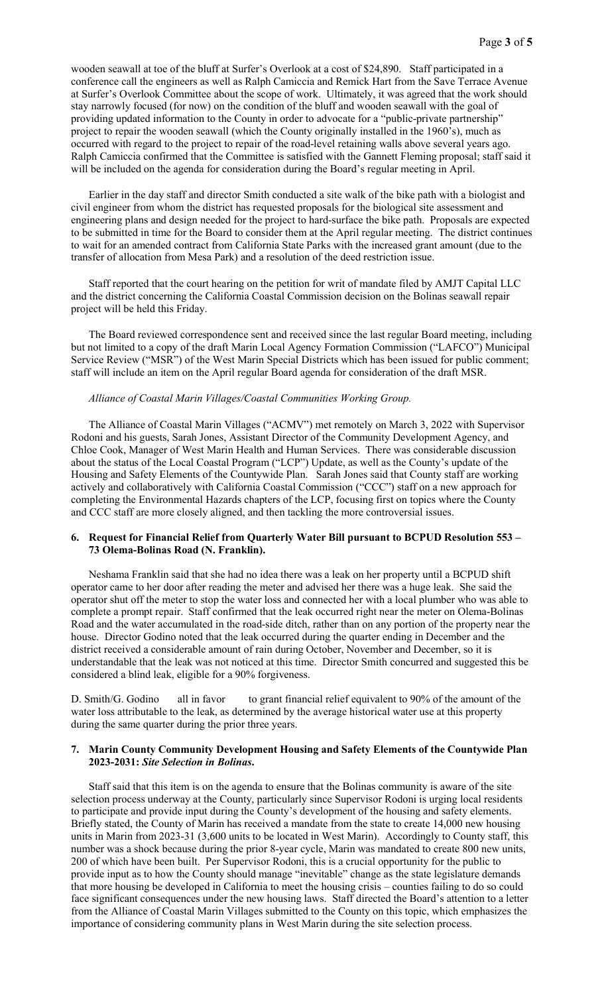wooden seawall at toe of the bluff at Surfer's Overlook at a cost of \$24,890. Staff participated in a conference call the engineers as well as Ralph Camiccia and Remick Hart from the Save Terrace Avenue at Surfer's Overlook Committee about the scope of work. Ultimately, it was agreed that the work should stay narrowly focused (for now) on the condition of the bluff and wooden seawall with the goal of providing updated information to the County in order to advocate for a "public-private partnership" project to repair the wooden seawall (which the County originally installed in the 1960's), much as occurred with regard to the project to repair of the road-level retaining walls above several years ago. Ralph Camiccia confirmed that the Committee is satisfied with the Gannett Fleming proposal; staff said it will be included on the agenda for consideration during the Board's regular meeting in April.

Earlier in the day staff and director Smith conducted a site walk of the bike path with a biologist and civil engineer from whom the district has requested proposals for the biological site assessment and engineering plans and design needed for the project to hard-surface the bike path. Proposals are expected to be submitted in time for the Board to consider them at the April regular meeting. The district continues to wait for an amended contract from California State Parks with the increased grant amount (due to the transfer of allocation from Mesa Park) and a resolution of the deed restriction issue.

Staff reported that the court hearing on the petition for writ of mandate filed by AMJT Capital LLC and the district concerning the California Coastal Commission decision on the Bolinas seawall repair project will be held this Friday.

The Board reviewed correspondence sent and received since the last regular Board meeting, including but not limited to a copy of the draft Marin Local Agency Formation Commission ("LAFCO") Municipal Service Review ("MSR") of the West Marin Special Districts which has been issued for public comment; staff will include an item on the April regular Board agenda for consideration of the draft MSR.

### *Alliance of Coastal Marin Villages/Coastal Communities Working Group.*

The Alliance of Coastal Marin Villages ("ACMV") met remotely on March 3, 2022 with Supervisor Rodoni and his guests, Sarah Jones, Assistant Director of the Community Development Agency, and Chloe Cook, Manager of West Marin Health and Human Services. There was considerable discussion about the status of the Local Coastal Program ("LCP") Update, as well as the County's update of the Housing and Safety Elements of the Countywide Plan. Sarah Jones said that County staff are working actively and collaboratively with California Coastal Commission ("CCC") staff on a new approach for completing the Environmental Hazards chapters of the LCP, focusing first on topics where the County and CCC staff are more closely aligned, and then tackling the more controversial issues.

## 6. Request for Financial Relief from Quarterly Water Bill pursuant to BCPUD Resolution 553 – 73 Olema-Bolinas Road (N. Franklin).

Neshama Franklin said that she had no idea there was a leak on her property until a BCPUD shift operator came to her door after reading the meter and advised her there was a huge leak. She said the operator shut off the meter to stop the water loss and connected her with a local plumber who was able to complete a prompt repair. Staff confirmed that the leak occurred right near the meter on Olema-Bolinas Road and the water accumulated in the road-side ditch, rather than on any portion of the property near the house. Director Godino noted that the leak occurred during the quarter ending in December and the district received a considerable amount of rain during October, November and December, so it is understandable that the leak was not noticed at this time. Director Smith concurred and suggested this be considered a blind leak, eligible for a 90% forgiveness.

D. Smith/G. Godino all in favor to grant financial relief equivalent to 90% of the amount of the water loss attributable to the leak, as determined by the average historical water use at this property during the same quarter during the prior three years.

# 7. Marin County Community Development Housing and Safety Elements of the Countywide Plan 2023-2031: *Site Selection in Bolinas*.

Staff said that this item is on the agenda to ensure that the Bolinas community is aware of the site selection process underway at the County, particularly since Supervisor Rodoni is urging local residents to participate and provide input during the County's development of the housing and safety elements. Briefly stated, the County of Marin has received a mandate from the state to create 14,000 new housing units in Marin from 2023-31 (3,600 units to be located in West Marin). Accordingly to County staff, this number was a shock because during the prior 8-year cycle, Marin was mandated to create 800 new units, 200 of which have been built. Per Supervisor Rodoni, this is a crucial opportunity for the public to provide input as to how the County should manage "inevitable" change as the state legislature demands that more housing be developed in California to meet the housing crisis – counties failing to do so could face significant consequences under the new housing laws. Staff directed the Board's attention to a letter from the Alliance of Coastal Marin Villages submitted to the County on this topic, which emphasizes the importance of considering community plans in West Marin during the site selection process.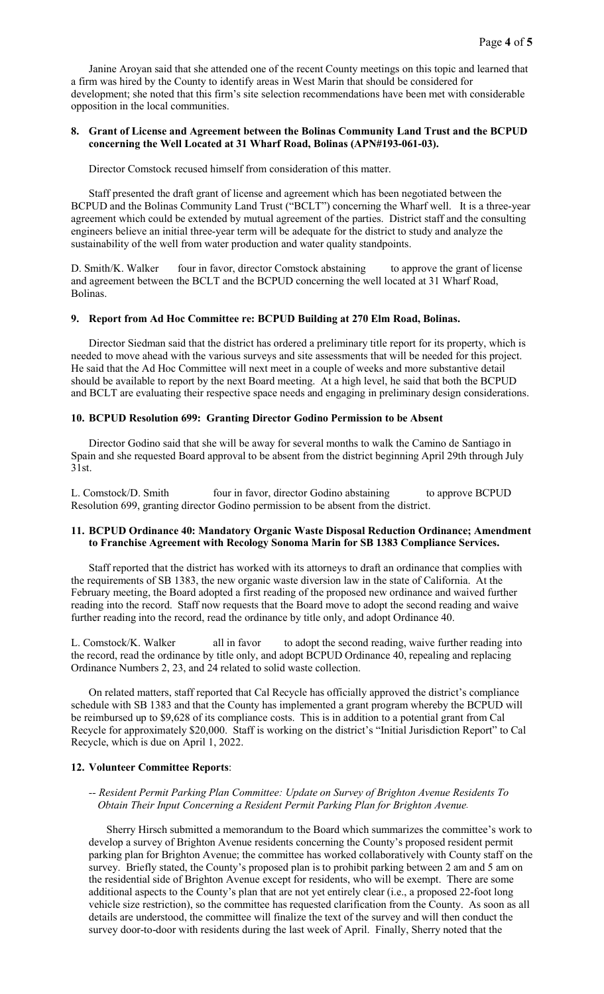Janine Aroyan said that she attended one of the recent County meetings on this topic and learned that a firm was hired by the County to identify areas in West Marin that should be considered for development; she noted that this firm's site selection recommendations have been met with considerable opposition in the local communities.

### 8. Grant of License and Agreement between the Bolinas Community Land Trust and the BCPUD concerning the Well Located at 31 Wharf Road, Bolinas (APN#193-061-03).

Director Comstock recused himself from consideration of this matter.

Staff presented the draft grant of license and agreement which has been negotiated between the BCPUD and the Bolinas Community Land Trust ("BCLT") concerning the Wharf well. It is a three-year agreement which could be extended by mutual agreement of the parties. District staff and the consulting engineers believe an initial three-year term will be adequate for the district to study and analyze the sustainability of the well from water production and water quality standpoints.

D. Smith/K. Walker four in favor, director Comstock abstaining to approve the grant of license and agreement between the BCLT and the BCPUD concerning the well located at 31 Wharf Road, Bolinas.

## 9. Report from Ad Hoc Committee re: BCPUD Building at 270 Elm Road, Bolinas.

Director Siedman said that the district has ordered a preliminary title report for its property, which is needed to move ahead with the various surveys and site assessments that will be needed for this project. He said that the Ad Hoc Committee will next meet in a couple of weeks and more substantive detail should be available to report by the next Board meeting. At a high level, he said that both the BCPUD and BCLT are evaluating their respective space needs and engaging in preliminary design considerations.

#### 10. BCPUD Resolution 699: Granting Director Godino Permission to be Absent

Director Godino said that she will be away for several months to walk the Camino de Santiago in Spain and she requested Board approval to be absent from the district beginning April 29th through July 31st.

L. Comstock/D. Smith four in favor, director Godino abstaining to approve BCPUD Resolution 699, granting director Godino permission to be absent from the district.

# 11. BCPUD Ordinance 40: Mandatory Organic Waste Disposal Reduction Ordinance; Amendment to Franchise Agreement with Recology Sonoma Marin for SB 1383 Compliance Services.

Staff reported that the district has worked with its attorneys to draft an ordinance that complies with the requirements of SB 1383, the new organic waste diversion law in the state of California. At the February meeting, the Board adopted a first reading of the proposed new ordinance and waived further reading into the record. Staff now requests that the Board move to adopt the second reading and waive further reading into the record, read the ordinance by title only, and adopt Ordinance 40.

L. Comstock/K. Walker all in favor to adopt the second reading, waive further reading into the record, read the ordinance by title only, and adopt BCPUD Ordinance 40, repealing and replacing Ordinance Numbers 2, 23, and 24 related to solid waste collection.

On related matters, staff reported that Cal Recycle has officially approved the district's compliance schedule with SB 1383 and that the County has implemented a grant program whereby the BCPUD will be reimbursed up to \$9,628 of its compliance costs. This is in addition to a potential grant from Cal Recycle for approximately \$20,000. Staff is working on the district's "Initial Jurisdiction Report" to Cal Recycle, which is due on April 1, 2022.

### 12. Volunteer Committee Reports:

### *-- Resident Permit Parking Plan Committee: Update on Survey of Brighton Avenue Residents To Obtain Their Input Concerning a Resident Permit Parking Plan for Brighton Avenue.*

Sherry Hirsch submitted a memorandum to the Board which summarizes the committee's work to develop a survey of Brighton Avenue residents concerning the County's proposed resident permit parking plan for Brighton Avenue; the committee has worked collaboratively with County staff on the survey. Briefly stated, the County's proposed plan is to prohibit parking between 2 am and 5 am on the residential side of Brighton Avenue except for residents, who will be exempt. There are some additional aspects to the County's plan that are not yet entirely clear (i.e., a proposed 22-foot long vehicle size restriction), so the committee has requested clarification from the County. As soon as all details are understood, the committee will finalize the text of the survey and will then conduct the survey door-to-door with residents during the last week of April. Finally, Sherry noted that the